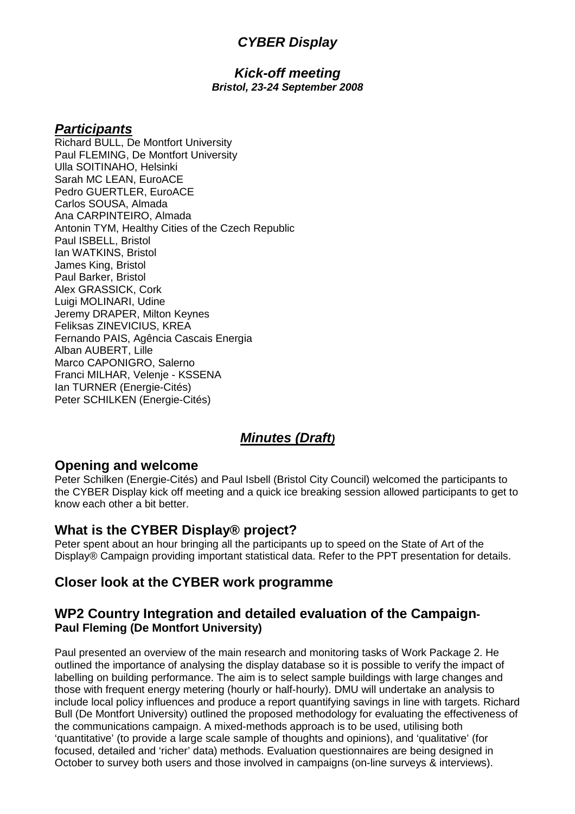## **CYBER Display**

#### **Kick-off meeting Bristol, 23-24 September 2008**

### **Participants**

Richard BULL, De Montfort University Paul FLEMING, De Montfort University Ulla SOITINAHO, Helsinki Sarah MC LEAN, EuroACE Pedro GUERTLER, EuroACE Carlos SOUSA, Almada Ana CARPINTEIRO, Almada Antonin TYM, Healthy Cities of the Czech Republic Paul ISBELL, Bristol Ian WATKINS, Bristol James King, Bristol Paul Barker, Bristol Alex GRASSICK, Cork Luigi MOLINARI, Udine Jeremy DRAPER, Milton Keynes Feliksas ZINEVICIUS, KREA Fernando PAIS, Agência Cascais Energia Alban AUBERT, Lille Marco CAPONIGRO, Salerno Franci MILHAR, Velenje - KSSENA Ian TURNER (Energie-Cités) Peter SCHILKEN (Energie-Cités)

# **Minutes (Draft)**

### **Opening and welcome**

Peter Schilken (Energie-Cités) and Paul Isbell (Bristol City Council) welcomed the participants to the CYBER Display kick off meeting and a quick ice breaking session allowed participants to get to know each other a bit better.

## **What is the CYBER Display® project?**

Peter spent about an hour bringing all the participants up to speed on the State of Art of the Display<sup>®</sup> Campaign providing important statistical data. Refer to the PPT presentation for details.

## **Closer look at the CYBER work programme**

### **WP2 Country Integration and detailed evaluation of the Campaign-Paul Fleming (De Montfort University)**

Paul presented an overview of the main research and monitoring tasks of Work Package 2. He outlined the importance of analysing the display database so it is possible to verify the impact of labelling on building performance. The aim is to select sample buildings with large changes and those with frequent energy metering (hourly or half-hourly). DMU will undertake an analysis to include local policy influences and produce a report quantifying savings in line with targets. Richard Bull (De Montfort University) outlined the proposed methodology for evaluating the effectiveness of the communications campaign. A mixed-methods approach is to be used, utilising both 'quantitative' (to provide a large scale sample of thoughts and opinions), and 'qualitative' (for focused, detailed and 'richer' data) methods. Evaluation questionnaires are being designed in October to survey both users and those involved in campaigns (on-line surveys & interviews).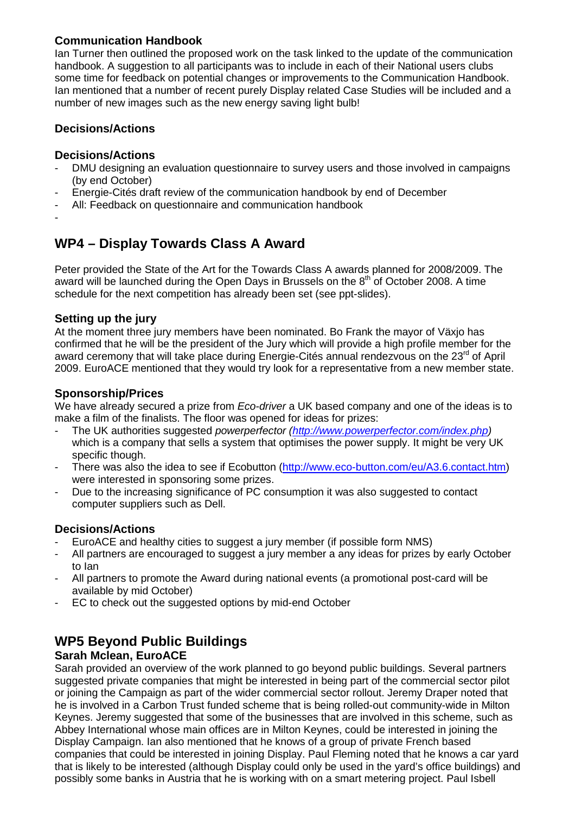### **Communication Handbook**

Ian Turner then outlined the proposed work on the task linked to the update of the communication handbook. A suggestion to all participants was to include in each of their National users clubs some time for feedback on potential changes or improvements to the Communication Handbook. Ian mentioned that a number of recent purely Display related Case Studies will be included and a number of new images such as the new energy saving light bulb!

### **Decisions/Actions**

#### **Decisions/Actions**

- DMU designing an evaluation questionnaire to survey users and those involved in campaigns (by end October)
- Energie-Cités draft review of the communication handbook by end of December
- All: Feedback on questionnaire and communication handbook
- -

# **WP4 – Display Towards Class A Award**

Peter provided the State of the Art for the Towards Class A awards planned for 2008/2009. The award will be launched during the Open Days in Brussels on the  $8<sup>th</sup>$  of October 2008. A time schedule for the next competition has already been set (see ppt-slides).

#### **Setting up the jury**

At the moment three jury members have been nominated. Bo Frank the mayor of Växjo has confirmed that he will be the president of the Jury which will provide a high profile member for the award ceremony that will take place during Energie-Cités annual rendezvous on the  $23<sup>rd</sup>$  of April 2009. EuroACE mentioned that they would try look for a representative from a new member state.

### **Sponsorship/Prices**

We have already secured a prize from Eco-driver a UK based company and one of the ideas is to make a film of the finalists. The floor was opened for ideas for prizes:

- The UK authorities suggested powerperfector (http://www.powerperfector.com/index.php) which is a company that sells a system that optimises the power supply. It might be very UK specific though.
- There was also the idea to see if Ecobutton (http://www.eco-button.com/eu/A3.6.contact.htm) were interested in sponsoring some prizes.
- Due to the increasing significance of PC consumption it was also suggested to contact computer suppliers such as Dell.

#### **Decisions/Actions**

- EuroACE and healthy cities to suggest a jury member (if possible form NMS)
- All partners are encouraged to suggest a jury member a any ideas for prizes by early October to Ian
- All partners to promote the Award during national events (a promotional post-card will be available by mid October)
- EC to check out the suggested options by mid-end October

# **WP5 Beyond Public Buildings**

#### **Sarah Mclean, EuroACE**

Sarah provided an overview of the work planned to go beyond public buildings. Several partners suggested private companies that might be interested in being part of the commercial sector pilot or joining the Campaign as part of the wider commercial sector rollout. Jeremy Draper noted that he is involved in a Carbon Trust funded scheme that is being rolled-out community-wide in Milton Keynes. Jeremy suggested that some of the businesses that are involved in this scheme, such as Abbey International whose main offices are in Milton Keynes, could be interested in joining the Display Campaign. Ian also mentioned that he knows of a group of private French based companies that could be interested in joining Display. Paul Fleming noted that he knows a car yard that is likely to be interested (although Display could only be used in the yard's office buildings) and possibly some banks in Austria that he is working with on a smart metering project. Paul Isbell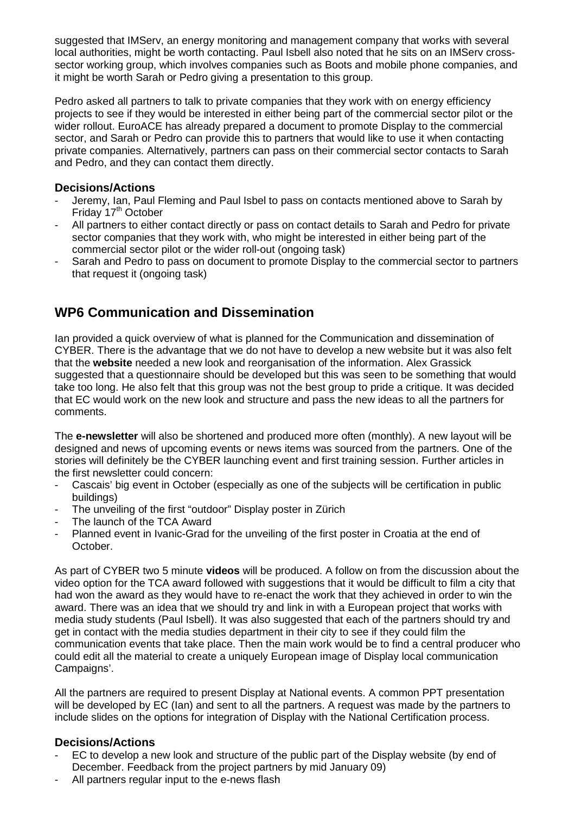suggested that IMServ, an energy monitoring and management company that works with several local authorities, might be worth contacting. Paul Isbell also noted that he sits on an IMServ crosssector working group, which involves companies such as Boots and mobile phone companies, and it might be worth Sarah or Pedro giving a presentation to this group.

Pedro asked all partners to talk to private companies that they work with on energy efficiency projects to see if they would be interested in either being part of the commercial sector pilot or the wider rollout. EuroACE has already prepared a document to promote Display to the commercial sector, and Sarah or Pedro can provide this to partners that would like to use it when contacting private companies. Alternatively, partners can pass on their commercial sector contacts to Sarah and Pedro, and they can contact them directly.

#### **Decisions/Actions**

- Jeremy, Ian, Paul Fleming and Paul Isbel to pass on contacts mentioned above to Sarah by Friday 17<sup>th</sup> October
- All partners to either contact directly or pass on contact details to Sarah and Pedro for private sector companies that they work with, who might be interested in either being part of the commercial sector pilot or the wider roll-out (ongoing task)
- Sarah and Pedro to pass on document to promote Display to the commercial sector to partners that request it (ongoing task)

# **WP6 Communication and Dissemination**

Ian provided a quick overview of what is planned for the Communication and dissemination of CYBER. There is the advantage that we do not have to develop a new website but it was also felt that the **website** needed a new look and reorganisation of the information. Alex Grassick suggested that a questionnaire should be developed but this was seen to be something that would take too long. He also felt that this group was not the best group to pride a critique. It was decided that EC would work on the new look and structure and pass the new ideas to all the partners for comments.

The **e-newsletter** will also be shortened and produced more often (monthly). A new layout will be designed and news of upcoming events or news items was sourced from the partners. One of the stories will definitely be the CYBER launching event and first training session. Further articles in the first newsletter could concern:

- Cascais' big event in October (especially as one of the subjects will be certification in public buildings)
- The unveiling of the first "outdoor" Display poster in Zürich
- The launch of the TCA Award
- Planned event in Ivanic-Grad for the unveiling of the first poster in Croatia at the end of October.

As part of CYBER two 5 minute **videos** will be produced. A follow on from the discussion about the video option for the TCA award followed with suggestions that it would be difficult to film a city that had won the award as they would have to re-enact the work that they achieved in order to win the award. There was an idea that we should try and link in with a European project that works with media study students (Paul Isbell). It was also suggested that each of the partners should try and get in contact with the media studies department in their city to see if they could film the communication events that take place. Then the main work would be to find a central producer who could edit all the material to create a uniquely European image of Display local communication Campaigns'.

All the partners are required to present Display at National events. A common PPT presentation will be developed by EC (Ian) and sent to all the partners. A request was made by the partners to include slides on the options for integration of Display with the National Certification process.

#### **Decisions/Actions**

- EC to develop a new look and structure of the public part of the Display website (by end of December. Feedback from the project partners by mid January 09)
- All partners regular input to the e-news flash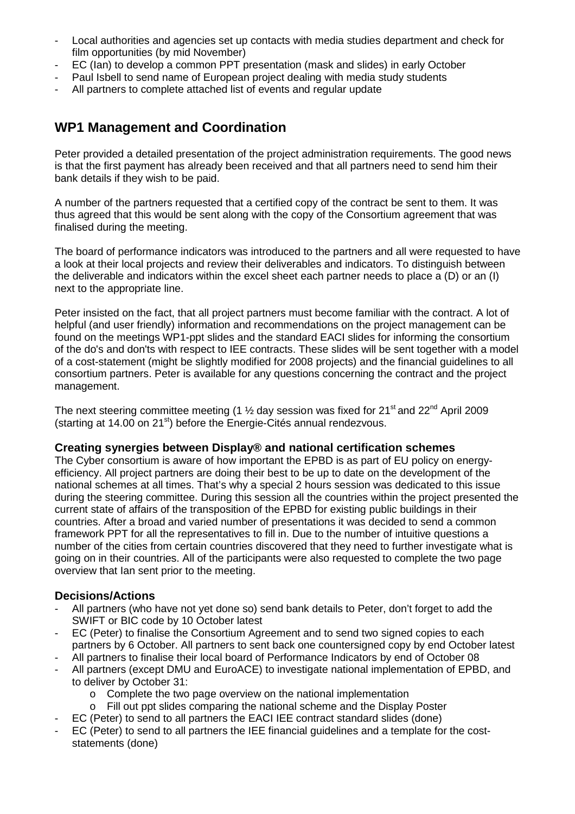- Local authorities and agencies set up contacts with media studies department and check for film opportunities (by mid November)
- EC (Ian) to develop a common PPT presentation (mask and slides) in early October
- Paul Isbell to send name of European project dealing with media study students
- All partners to complete attached list of events and regular update

## **WP1 Management and Coordination**

Peter provided a detailed presentation of the project administration requirements. The good news is that the first payment has already been received and that all partners need to send him their bank details if they wish to be paid.

A number of the partners requested that a certified copy of the contract be sent to them. It was thus agreed that this would be sent along with the copy of the Consortium agreement that was finalised during the meeting.

The board of performance indicators was introduced to the partners and all were requested to have a look at their local projects and review their deliverables and indicators. To distinguish between the deliverable and indicators within the excel sheet each partner needs to place a (D) or an (I) next to the appropriate line.

Peter insisted on the fact, that all project partners must become familiar with the contract. A lot of helpful (and user friendly) information and recommendations on the project management can be found on the meetings WP1-ppt slides and the standard EACI slides for informing the consortium of the do's and don'ts with respect to IEE contracts. These slides will be sent together with a model of a cost-statement (might be slightly modified for 2008 projects) and the financial guidelines to all consortium partners. Peter is available for any questions concerning the contract and the project management.

The next steering committee meeting (1  $\frac{1}{2}$  day session was fixed for 21<sup>st</sup> and 22<sup>nd</sup> April 2009 (starting at 14.00 on 21<sup>st</sup>) before the Energie-Cités annual rendezvous.

#### **Creating synergies between Display® and national certification schemes**

The Cyber consortium is aware of how important the EPBD is as part of EU policy on energyefficiency. All project partners are doing their best to be up to date on the development of the national schemes at all times. That's why a special 2 hours session was dedicated to this issue during the steering committee. During this session all the countries within the project presented the current state of affairs of the transposition of the EPBD for existing public buildings in their countries. After a broad and varied number of presentations it was decided to send a common framework PPT for all the representatives to fill in. Due to the number of intuitive questions a number of the cities from certain countries discovered that they need to further investigate what is going on in their countries. All of the participants were also requested to complete the two page overview that Ian sent prior to the meeting.

#### **Decisions/Actions**

- All partners (who have not yet done so) send bank details to Peter, don't forget to add the SWIFT or BIC code by 10 October latest
- EC (Peter) to finalise the Consortium Agreement and to send two signed copies to each partners by 6 October. All partners to sent back one countersigned copy by end October latest
- All partners to finalise their local board of Performance Indicators by end of October 08
- All partners (except DMU and EuroACE) to investigate national implementation of EPBD, and to deliver by October 31:
	- o Complete the two page overview on the national implementation
	- o Fill out ppt slides comparing the national scheme and the Display Poster
- EC (Peter) to send to all partners the EACI IEE contract standard slides (done)
- EC (Peter) to send to all partners the IEE financial guidelines and a template for the coststatements (done)